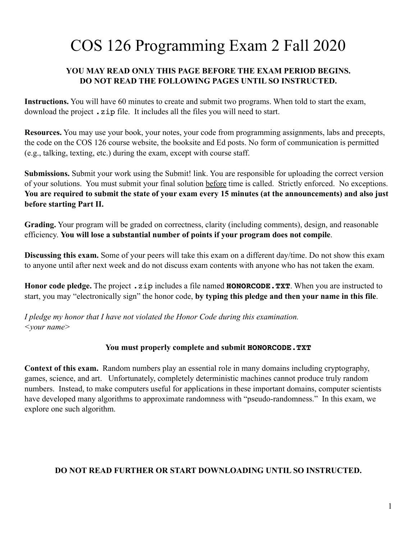# COS 126 Programming Exam 2 Fall 2020

## **YOU MAY READ ONLY THIS PAGE BEFORE THE EXAM PERIOD BEGINS. DO NOT READ THE FOLLOWING PAGES UNTIL SO INSTRUCTED.**

**Instructions.** You will have 60 minutes to create and submit two programs. When told to start the exam, download the project  $\cdot$  zip file. It includes all the files you will need to start.

**Resources.** You may use your book, your notes, your code from programming assignments, labs and precepts, the code on the COS 126 course website, the booksite and Ed posts. No form of communication is permitted (e.g., talking, texting, etc.) during the exam, except with course staff.

**Submissions.** Submit your work using the Submit! link. You are responsible for uploading the correct version of your solutions. You must submit your final solution before time is called. Strictly enforced. No exceptions. **You are required to submit the state of your exam every 15 minutes (at the announcements) and also just before starting Part II.**

**Grading.** Your program will be graded on correctness, clarity (including comments), design, and reasonable efficiency. **You will lose a substantial number of points if your program does not compile**.

**Discussing this exam.** Some of your peers will take this exam on a different day/time. Do not show this exam to anyone until after next week and do not discuss exam contents with anyone who has not taken the exam.

**Honor code pledge.** The project .zip includes a file named **HONORCODE.TXT**. When you are instructed to start, you may "electronically sign" the honor code, **by typing this pledge and then your name in this file**.

*I pledge my honor that I have not violated the Honor Code during this examination. <your name>*

### **You must properly complete and submit HONORCODE.TXT**

**Context of this exam.** Random numbers play an essential role in many domains including cryptography, games, science, and art. Unfortunately, completely deterministic machines cannot produce truly random numbers. Instead, to make computers useful for applications in these important domains, computer scientists have developed many algorithms to approximate randomness with "pseudo-randomness." In this exam, we explore one such algorithm.

### **DO NOT READ FURTHER OR START DOWNLOADING UNTIL SO INSTRUCTED.**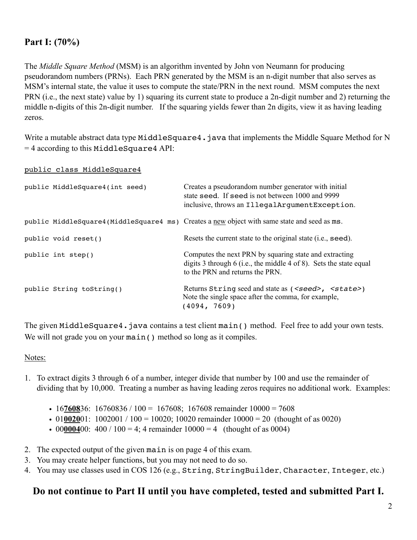## **Part I: (70%)**

The *Middle Square Method* (MSM) is an algorithm invented by John von Neumann for producing pseudorandom numbers (PRNs). Each PRN generated by the MSM is an n-digit number that also serves as MSM's internal state, the value it uses to compute the state/PRN in the next round. MSM computes the next PRN (i.e., the next state) value by 1) squaring its current state to produce a 2n-digit number and 2) returning the middle n-digits of this 2n-digit number. If the squaring yields fewer than 2n digits, view it as having leading zeros.

Write a mutable abstract data type MiddleSquare4. java that implements the Middle Square Method for N = 4 according to this MiddleSquare4 API:

public class MiddleSquare4

| public MiddleSquare4(int seed) | Creates a pseudorandom number generator with initial<br>state seed. If seed is not between 1000 and 9999<br>inclusive, throws an IllegalArgumentException.      |
|--------------------------------|-----------------------------------------------------------------------------------------------------------------------------------------------------------------|
|                                | public MiddleSquare4 (MiddleSquare4 ms) Creates a new object with same state and seed as ms.                                                                    |
| public void reset()            | Resets the current state to the original state (i.e., seed).                                                                                                    |
| public int step()              | Computes the next PRN by squaring state and extracting<br>digits 3 through 6 (i.e., the middle 4 of 8). Sets the state equal<br>to the PRN and returns the PRN. |
| public String toString()       | Returns String seed and state as ( <seed>, <state>)<br/>Note the single space after the comma, for example,<br/>(4094, 7609)</state></seed>                     |

The given MiddleSquare4.java contains a test client main() method. Feel free to add your own tests. We will not grade you on your main () method so long as it compiles.

#### Notes:

- 1. To extract digits 3 through 6 of a number, integer divide that number by 100 and use the remainder of dividing that by 10,000. Treating a number as having leading zeros requires no additional work. Examples:
	- 16760836: 16760836 / 100 = 167608; 167608 remainder  $10000 = 7608$
	- 01002001: 1002001 / 100 = 10020; 10020 remainder  $10000 = 20$  (thought of as 0020)
	- 00000400: 400 / 100 = 4; 4 remainder  $10000 = 4$  (thought of as 0004)
- 2. The expected output of the given main is on page 4 of this exam.
- 3. You may create helper functions, but you may not need to do so.
- 4. You may use classes used in COS 126 (e.g., String, StringBuilder, Character, Integer, etc.)

## **Do not continue to Part II until you have completed, tested and submitted Part I.**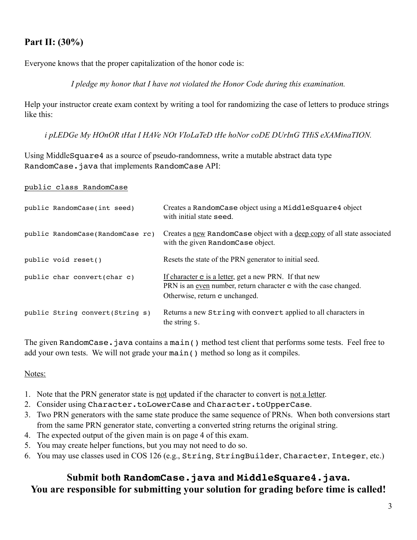# **Part II: (30%)**

Everyone knows that the proper capitalization of the honor code is:

*I pledge my honor that I have not violated the Honor Code during this examination.*

Help your instructor create exam context by writing a tool for randomizing the case of letters to produce strings like this:

*i pLEDGe My HOnOR tHat I HAVe NOt VIoLaTeD tHe hoNor coDE DUrInG THiS eXAMinaTION.*

Using MiddleSquare4 as a source of pseudo-randomness, write a mutable abstract data type RandomCase.java that implements RandomCase API:

public class RandomCase

| public RandomCase(int seed)      | Creates a RandomCase object using a MiddleSquare4 object<br>with initial state seed.                                                                                              |
|----------------------------------|-----------------------------------------------------------------------------------------------------------------------------------------------------------------------------------|
| public RandomCase(RandomCase rc) | Creates a new Random Case object with a deep copy of all state associated<br>with the given Random Case object.                                                                   |
| public void reset()              | Resets the state of the PRN generator to initial seed.                                                                                                                            |
| public char convert(char c)      | If character <b>c</b> is a letter, get a new PRN. If that new<br>PRN is an <u>even</u> number, return character <b>c</b> with the case changed.<br>Otherwise, return c unchanged. |
| public String convert (String s) | Returns a new String with convert applied to all characters in<br>the string s.                                                                                                   |

The given RandomCase. java contains a main() method test client that performs some tests. Feel free to add your own tests. We will not grade your main() method so long as it compiles.

## Notes:

- 1. Note that the PRN generator state is not updated if the character to convert is not a letter.
- 2. Consider using Character.toLowerCase and Character.toUpperCase.
- 3. Two PRN generators with the same state produce the same sequence of PRNs. When both conversions start from the same PRN generator state, converting a converted string returns the original string.
- 4. The expected output of the given main is on page 4 of this exam.
- 5. You may create helper functions, but you may not need to do so.
- 6. You may use classes used in COS 126 (e.g., String, StringBuilder, Character, Integer, etc.)

# **Submit both RandomCase.java and MiddleSquare4.java. You are responsible for submitting your solution for grading before time is called!**